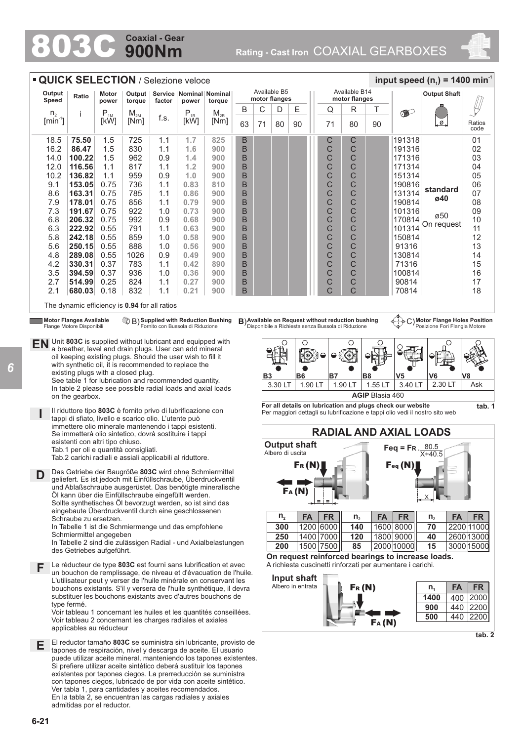## **900Nm Coaxial - Gear**

803C **Rating - Cast Iron** COAXIAL GEARBOXES